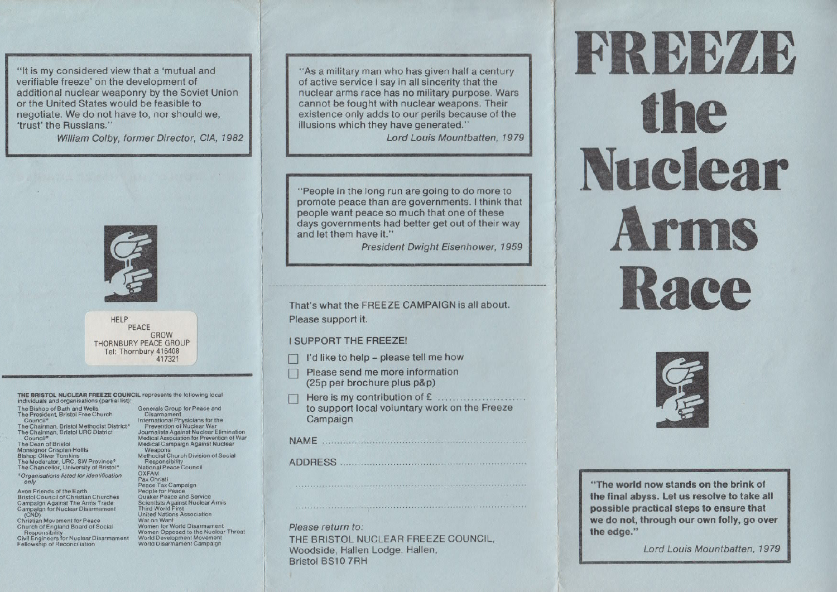"It is my considered view that a 'mutual and verifiable freeze' on the development of additional nuclear weaponry by the Soviet Union or the United States would be feasible to negotiate. We do not have to, nor should we, 'trust' the Russians."

William Colby, former Director, CIA, 1982



**HELP** PEACE GROW THORNBURY PEACE GROUP Tel: Thornbury 416408 417321

THE BRISTOL NUCLEAR FREEZE COUNCIL represents the following local individuals and organisations (partial list):

The Bishop of Bath and Wells The President. Bristol Free Church

Council<sup>\*</sup> The Chairman, Bristol Methodist District'"

The Chairman; Bristol URC District 'Council\*

The Dean of Bristol Monsignor CriSpian Hollis Bishop Oliver Tomkins The Moderator. URC, SW Province" The Chancellor, University of Bristol\* \*Organisations listed for identification

only Avon Friends of the Earth

**Bristol Council of Christian Churches** Campaign Against The Arms Trade Campaign for Nuclear Disarmament

Christian Movement for Peace Church ot England Board of Social

Responsibility Civil Engineers for Nuclear Disarmament Fellowship of Reconciliation

Generals Group for Peace and **Disarmament** International Physicians for the Prevention of Nuclear War Journalists Against Nuclear Elimination Medical Association for Prevention of War Medical Campaign Against Nuclear Weapons Methodist Church Division of Social Responsibility National Peace Council OXFAM Pax Christi Peace Tax Campaign People for Peace<br>Quaker Peace and Service Scientists Against Nuclear Arms Third World First United Nations Association War on Want<br>Women for World Disarmament Women Opposed to the Nuclear Threat World Development Movement World Disarmament Campaign

"As a military man who has given half a century of active service <sup>I</sup> say in all sincerity that the nuclear arms race has no military purpose. Wars cannot be fought with nuclear weapons. Their existence only adds to our perils because of the illusions which they have generated."

Lord Louis Mountbatten, 1979

"People in the long run are going to do more to promote peace than are governments. <sup>I</sup> think that people want peace so much that one of these days governments had better get out of their way and let them have it."

President Dwight Eisenhower, 1959

### That's what the FREEZE CAMPAIGN is all about. Please support it.

### <sup>I</sup> SUPPORT THE FREEZE!

- I'd like to help please tell me how
- Please send me more information (25p per brochure plus p&p)
- 1:] Here is my contribution of £ ........................ to support local voluntary work on the Freeze Campaign

..............................................................................

..............................................................................

| ADDRESS <b>ADDRESS</b> |  |  |  |  |  |  |  |  |  |  |  |  |
|------------------------|--|--|--|--|--|--|--|--|--|--|--|--|

Please return to: THE BRISTOL NUCLEAR FREEZE COUNCIL. Woodside, Hallen Lodge, Hallen, Bristol BS10 7RH

# FREEZE the Nuclear Arms Race



"The world now stands on the brink of the final abyss. Let us resolve to take all posslble practical steps to ensure that we do not, through our own folly, go over the edge."

Lord Louis Mountbatten, 1979